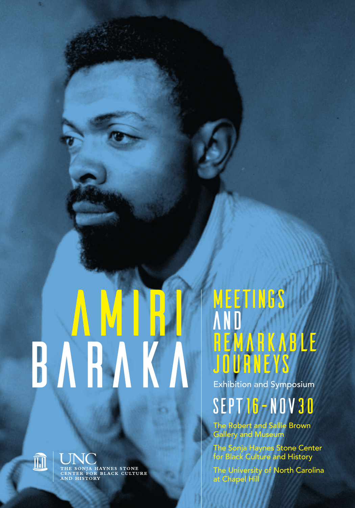# **BARAKA Exhibition and Symposium** AMIRI



THE SONJA HAYNES STONE<br>CENTER FOR BLACK CULTURE<br>AND HISTORY

# **MEETINGS AND** AND<br>Hemarkable<br>Jouaneys

# SEPT16—nov30

The Robert and Sallie Brown Gallery and Museum

The Sonja Haynes Stone Center for Black Culture and History

The University of North Carolina at Chapel Hill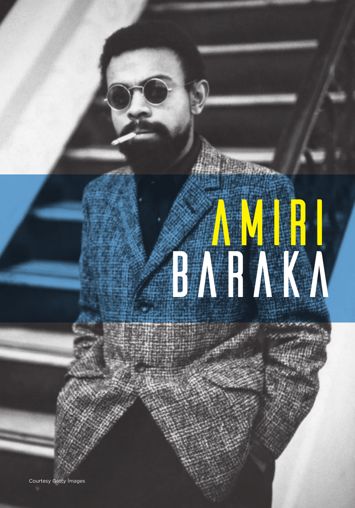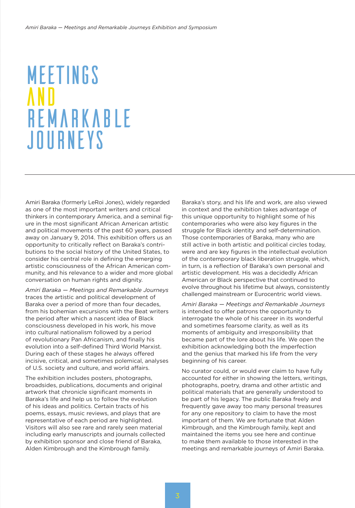# **MEETINGS** and **REMARKABLE JOURNEYS**

Amiri Baraka (formerly LeRoi Jones), widely regarded as one of the most important writers and critical thinkers in contemporary America, and a seminal figure in the most significant African American artistic and political movements of the past 60 years, passed away on January 9, 2014. This exhibition offers us an opportunity to critically reflect on Baraka's contributions to the social history of the United States, to consider his central role in defining the emerging artistic consciousness of the African American community, and his relevance to a wider and more global conversation on human rights and dignity.

*Amiri Baraka — Meetings and Remarkable Journeys* traces the artistic and political development of Baraka over a period of more than four decades, from his bohemian excursions with the Beat writers the period after which a nascent idea of Black consciousness developed in his work, his move into cultural nationalism followed by a period of revolutionary Pan Africanism, and finally his evolution into a self-defined Third World Marxist. During each of these stages he always offered incisive, critical, and sometimes polemical, analyses of U.S. society and culture, and world affairs.

The exhibition includes posters, photographs, broadsides, publications, documents and original artwork that chronicle significant moments in Baraka's life and help us to follow the evolution of his ideas and politics. Certain tracts of his poems, essays, music reviews, and plays that are representative of each period are highlighted. Visitors will also see rare and rarely seen material including early manuscripts and journals collected by exhibition sponsor and close friend of Baraka, Alden Kimbrough and the Kimbrough family.

Baraka's story, and his life and work, are also viewed in context and the exhibition takes advantage of this unique opportunity to highlight some of his contemporaries who were also key figures in the struggle for Black identity and self-determination. Those contemporaries of Baraka, many who are still active in both artistic and political circles today, were and are key figures in the intellectual evolution of the contemporary black liberation struggle, which, in turn, is a reflection of Baraka's own personal and artistic development. His was a decidedly African American or Black perspective that continued to evolve throughout his lifetime but always, consistently challenged mainstream or Eurocentric world views.

*Amiri Baraka — Meetings and Remarkable Journeys* is intended to offer patrons the opportunity to interrogate the whole of his career in its wonderful and sometimes fearsome clarity, as well as its moments of ambiguity and irresponsibility that became part of the lore about his life. We open the exhibition acknowledging both the imperfection and the genius that marked his life from the very beginning of his career.

No curator could, or would ever claim to have fully accounted for either in showing the letters, writings, photographs, poetry, drama and other artistic and political materials that are generally understood to be part of his legacy. The public Baraka freely and frequently gave away too many personal treasures for any one repository to claim to have the most important of them. We are fortunate that Alden Kimbrough, and the Kimbrough family, kept and maintained the items you see here and continue to make them available to those interested in the meetings and remarkable journeys of Amiri Baraka.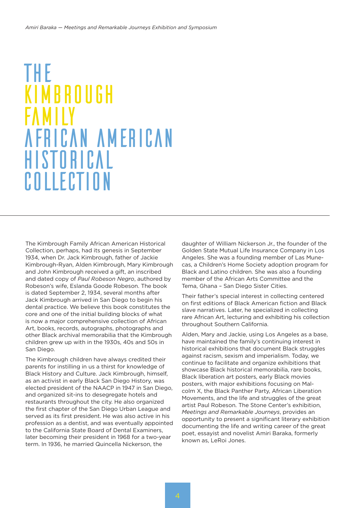### **KIMBROUGH** the family african american historical collection

The Kimbrough Family African American Historical Collection, perhaps, had its genesis in September 1934, when Dr. Jack Kimbrough, father of Jackie Kimbrough-Ryan, Alden Kimbrough, Mary Kimbrough and John Kimbrough received a gift, an inscribed and dated copy of *Paul Robeson Negro*, authored by Robeson's wife, Eslanda Goode Robeson. The book is dated September 2, 1934, several months after Jack Kimbrough arrived in San Diego to begin his dental practice. We believe this book constitutes the core and one of the initial building blocks of what is now a major comprehensive collection of African Art, books, records, autographs, photographs and other Black archival memorabilia that the Kimbrough children grew up with in the 1930s, 40s and 50s in San Diego.

The Kimbrough children have always credited their parents for instilling in us a thirst for knowledge of Black History and Culture. Jack Kimbrough, himself, as an activist in early Black San Diego History, was elected president of the NAACP in 1947 in San Diego, and organized sit-ins to desegregate hotels and restaurants throughout the city. He also organized the first chapter of the San Diego Urban League and served as its first president. He was also active in his profession as a dentist, and was eventually appointed to the California State Board of Dental Examiners, later becoming their president in 1968 for a two-year term. In 1936, he married Quincella Nickerson, the

daughter of William Nickerson Jr., the founder of the Golden State Mutual Life Insurance Company in Los Angeles. She was a founding member of Las Munecas, a Children's Home Society adoption program for Black and Latino children. She was also a founding member of the African Arts Committee and the Tema, Ghana – San Diego Sister Cities.

Their father's special interest in collecting centered on first editions of Black American fiction and Black slave narratives. Later, he specialized in collecting rare African Art, lecturing and exhibiting his collection throughout Southern California.

Alden, Mary and Jackie, using Los Angeles as a base, have maintained the family's continuing interest in historical exhibitions that document Black struggles against racism, sexism and imperialism. Today, we continue to facilitate and organize exhibitions that showcase Black historical memorabilia, rare books, Black liberation art posters, early Black movies posters, with major exhibitions focusing on Malcolm X, the Black Panther Party, African Liberation Movements, and the life and struggles of the great artist Paul Robeson. The Stone Center's exhibition, *Meetings and Remarkable Journeys*, provides an opportunity to present a significant literary exhibition documenting the life and writing career of the great poet, essayist and novelist Amiri Baraka, formerly known as, LeRoi Jones.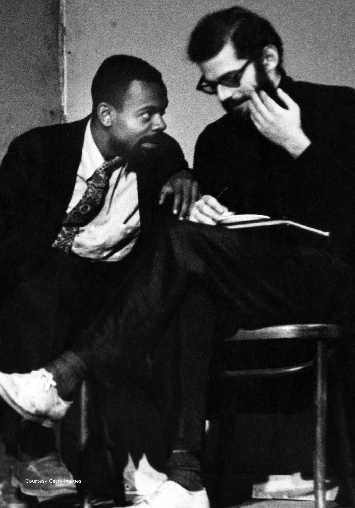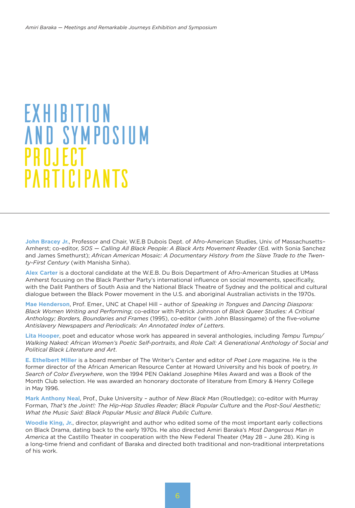## EXHIBITION AND SYMPOSIUM PROJECT **PARTICIPANTS**

**John Bracey Jr.**, Professor and Chair, W.E.B Dubois Dept. of Afro-American Studies, Univ. of Massachusetts– Amherst; co-editor, *SOS — Calling All Black People: A Black Arts Movement Reader* (Ed. with Sonia Sanchez and James Smethurst); *African American Mosaic: A Documentary History from the Slave Trade to the Twenty-First Century* (with Manisha Sinha).

**Alex Carter** is a doctoral candidate at the W.E.B. Du Bois Department of Afro-American Studies at UMass Amherst focusing on the Black Panther Party's international influence on social movements, specifically, with the Dalit Panthers of South Asia and the National Black Theatre of Sydney and the political and cultural dialogue between the Black Power movement in the U.S. and aboriginal Australian activists in the 1970s.

**Mae Henderson**, Prof. Emer., UNC at Chapel Hill – author of *Speaking in Tongues* and *Dancing Diaspora: Black Women Writing and Performing*; co-editor with Patrick Johnson of *Black Queer Studies: A Critical Anthology; Borders, Boundaries and Frames* (1995), co-editor (with John Blassingame) of the five-volume *Antislavery Newspapers and Periodicals: An Annotated Index of Letters*.

**Lita Hooper**, poet and educator whose work has appeared in several anthologies, including *Tempu Tumpu/ Walking Naked: African Women's Poetic Self-portraits*, and *Role Call: A Generational Anthology of Social and Political Black Literature and Art*.

**E. Ethelbert Miller** is a board member of The Writer's Center and editor of *Poet Lore* magazine. He is the former director of the African American Resource Center at Howard University and his book of poetry, *In Search of Color Everywhere*, won the 1994 PEN Oakland Josephine Miles Award and was a Book of the Month Club selection. He was awarded an honorary doctorate of literature from Emory & Henry College in May 1996.

**Mark Anthony Neal**, Prof., Duke University – author of *New Black Man* (Routledge); co-editor with Murray Forman, *That's the Joint!: The Hip-Hop Studies Reader; Black Popular Culture* and the *Post-Soul Aesthetic; What the Music Said: Black Popular Music and Black Public Culture*.

**Woodie King, Jr.**, director, playwright and author who edited some of the most important early collections on Black Drama, dating back to the early 1970s. He also directed Amiri Baraka's *Most Dangerous Man in America* at the Castillo Theater in cooperation with the New Federal Theater (May 28 – June 28). King is a long-time friend and confidant of Baraka and directed both traditional and non-traditional interpretations of his work.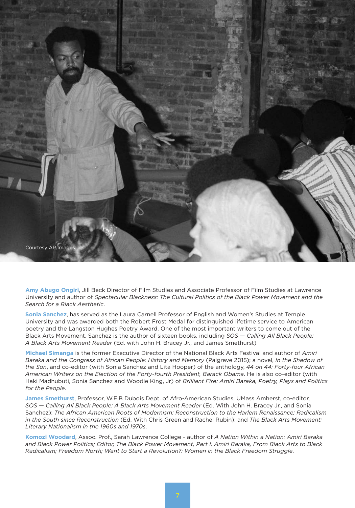

**Amy Abugo Ongiri**, Jill Beck Director of Film Studies and Associate Professor of Film Studies at Lawrence University and author of *Spectacular Blackness: The Cultural Politics of the Black Power Movement and the Search for a Black Aesthetic*.

**Sonia Sanchez**, has served as the Laura Carnell Professor of English and Women's Studies at Temple University and was awarded both the Robert Frost Medal for distinguished lifetime service to American poetry and the Langston Hughes Poetry Award. One of the most important writers to come out of the Black Arts Movement, Sanchez is the author of sixteen books, including *SOS — Calling All Black People: A Black Arts Movement Reader* (Ed. with John H. Bracey Jr., and James Smethurst)

**Michael Simanga** is the former Executive Director of the National Black Arts Festival and author of *Amiri Baraka and the Congress of African People: History and Memory* (Palgrave 2015); a novel, *In the Shadow of the Son*, and co-editor (with Sonia Sanchez and Lita Hooper) of the anthology, *44 on 44: Forty-four African American Writers on the Election of the Forty-fourth President, Barack Obama*. He is also co-editor (with Haki Madhubuti, Sonia Sanchez and Woodie King, Jr) of *Brilliant Fire: Amiri Baraka, Poetry, Plays and Politics for the People*.

**James Smethurst**, Professor, W.E.B Dubois Dept. of Afro-American Studies, UMass Amherst, co-editor, *SOS — Calling All Black People: A Black Arts Movement Reader* (Ed. With John H. Bracey Jr., and Sonia Sanchez); *The African American Roots of Modernism: Reconstruction to the Harlem Renaissance; Radicalism in the South since Reconstruction* (Ed. With Chris Green and Rachel Rubin); and *The Black Arts Movement: Literary Nationalism in the 1960s and 1970s*.

**Komozi Woodard**, Assoc. Prof., Sarah Lawrence College - author of *A Nation Within a Nation: Amiri Baraka and Black Power Politics; Editor, The Black Power Movement, Part I: Amiri Baraka, From Black Arts to Black Radicalism; Freedom North; Want to Start a Revolution?: Women in the Black Freedom Struggle*.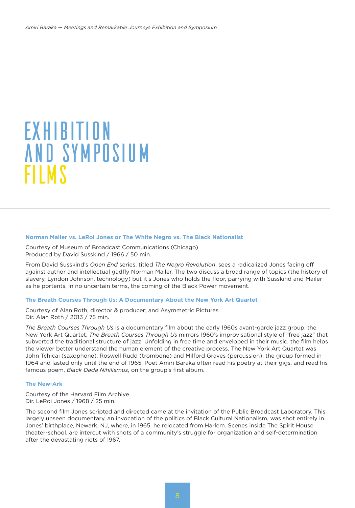## EXHIBITION AND SYMPOSIUM FILMS

#### **Norman Mailer vs. LeRoi Jones or The White Negro vs. The Black Nationalist**

Courtesy of Museum of Broadcast Communications (Chicago) Produced by David Susskind / 1966 / 50 min.

From David Susskind's *Open End* series, titled *The Negro Revolution*, sees a radicalized Jones facing off against author and intellectual gadfly Norman Mailer. The two discuss a broad range of topics (the history of slavery, Lyndon Johnson, technology) but it's Jones who holds the floor, parrying with Susskind and Mailer as he portents, in no uncertain terms, the coming of the Black Power movement.

#### **The Breath Courses Through Us: A Documentary About the New York Art Quartet**

Courtesy of Alan Roth, director & producer; and Asymmetric Pictures Dir. Alan Roth / 2013 / 75 min.

*The Breath Courses Through Us* is a documentary film about the early 1960s avant-garde jazz group, the New York Art Quartet. *The Breath Courses Through Us* mirrors 1960's improvisational style of "free jazz" that subverted the traditional structure of jazz. Unfolding in free time and enveloped in their music, the film helps the viewer better understand the human element of the creative process. The New York Art Quartet was John Tchicai (saxophone), Roswell Rudd (trombone) and Milford Graves (percussion), the group formed in 1964 and lasted only until the end of 1965. Poet Amiri Baraka often read his poetry at their gigs, and read his famous poem, *Black Dada Nihilismus*, on the group's first album.

#### **The New-Ark**

Courtesy of the Harvard Film Archive Dir. LeRoi Jones / 1968 / 25 min.

The second film Jones scripted and directed came at the invitation of the Public Broadcast Laboratory. This largely unseen documentary, an invocation of the politics of Black Cultural Nationalism, was shot entirely in Jones' birthplace, Newark, NJ, where, in 1965, he relocated from Harlem. Scenes inside The Spirit House theater-school, are intercut with shots of a community's struggle for organization and self-determination after the devastating riots of 1967.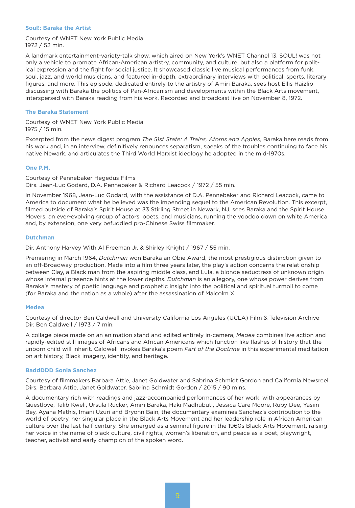#### **Soul!: Baraka the Artist**

Courtesy of WNET New York Public Media 1972 / 52 min.

A landmark entertainment-variety-talk show, which aired on New York's WNET Channel 13, SOUL! was not only a vehicle to promote African-American artistry, community, and culture, but also a platform for political expression and the fight for social justice. It showcased classic live musical performances from funk, soul, jazz, and world musicians, and featured in-depth, extraordinary interviews with political, sports, literary figures, and more. This episode, dedicated entirely to the artistry of Amiri Baraka, sees host Ellis Haizlip discussing with Baraka the politics of Pan-Africanism and developments within the Black Arts movement, interspersed with Baraka reading from his work. Recorded and broadcast live on November 8, 1972.

#### **The Baraka Statement**

Courtesy of WNET New York Public Media 1975 / 15 min.

Excerpted from the news digest program *The 51st State: A Trains, Atoms and Apples*, Baraka here reads from his work and, in an interview, definitively renounces separatism, speaks of the troubles continuing to face his native Newark, and articulates the Third World Marxist ideology he adopted in the mid-1970s.

#### **One P.M.**

Courtesy of Pennebaker Hegedus Films Dirs. Jean-Luc Godard, D.A. Pennebaker & Richard Leacock / 1972 / 55 min.

In November 1968, Jean-Luc Godard, with the assistance of D.A. Pennebaker and Richard Leacock, came to America to document what he believed was the impending sequel to the American Revolution. This excerpt, filmed outside of Baraka's Spirit House at 33 Stirling Street in Newark, NJ, sees Baraka and the Spirit House Movers, an ever-evolving group of actors, poets, and musicians, running the voodoo down on white America and, by extension, one very befuddled pro-Chinese Swiss filmmaker.

#### **Dutchman**

Dir. Anthony Harvey With Al Freeman Jr. & Shirley Knight / 1967 / 55 min.

Premiering in March 1964, *Dutchman* won Baraka an Obie Award, the most prestigious distinction given to an off-Broadway production. Made into a film three years later, the play's action concerns the relationship between Clay, a Black man from the aspiring middle class, and Lula, a blonde seductress of unknown origin whose infernal presence hints at the lower depths. *Dutchman* is an allegory, one whose power derives from Baraka's mastery of poetic language and prophetic insight into the political and spiritual turmoil to come (for Baraka and the nation as a whole) after the assassination of Malcolm X.

#### **Medea**

Courtesy of director Ben Caldwell and University California Los Angeles (UCLA) Film & Television Archive Dir. Ben Caldwell / 1973 / 7 min.

A collage piece made on an animation stand and edited entirely in-camera, *Medea* combines live action and rapidly-edited still images of Africans and African Americans which function like flashes of history that the unborn child will inherit. Caldwell invokes Baraka's poem *Part of the Doctrine* in this experimental meditation on art history, Black imagery, identity, and heritage.

#### **BaddDDD Sonia Sanchez**

Courtesy of filmmakers Barbara Attie, Janet Goldwater and Sabrina Schmidt Gordon and California Newsreel Dirs. Barbara Attie, Janet Goldwater, Sabrina Schmidt Gordon / 2015 / 90 mins.

A documentary rich with readings and jazz-accompanied performances of her work, with appearances by Questlove, Talib Kweli, Ursula Rucker, Amiri Baraka, Haki Madhubuti, Jessica Care Moore, Ruby Dee, Yasiin Bey, Ayana Mathis, Imani Uzuri and Bryonn Bain, the documentary examines Sanchez's contribution to the world of poetry, her singular place in the Black Arts Movement and her leadership role in African American culture over the last half century. She emerged as a seminal figure in the 1960s Black Arts Movement, raising her voice in the name of black culture, civil rights, women's liberation, and peace as a poet, playwright, teacher, activist and early champion of the spoken word.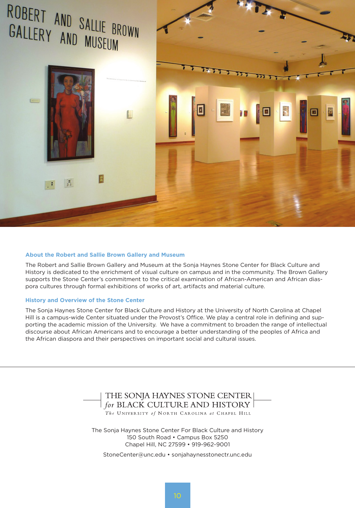

#### **About the Robert and Sallie Brown Gallery and Museum**

The Robert and Sallie Brown Gallery and Museum at the Sonja Haynes Stone Center for Black Culture and History is dedicated to the enrichment of visual culture on campus and in the community. The Brown Gallery supports the Stone Center's commitment to the critical examination of African-American and African diaspora cultures through formal exhibitions of works of art, artifacts and material culture.

#### **History and Overview of the Stone Center**

The Sonja Haynes Stone Center for Black Culture and History at the University of North Carolina at Chapel Hill is a campus-wide Center situated under the Provost's Office. We play a central role in defining and supporting the academic mission of the University. We have a commitment to broaden the range of intellectual discourse about African Americans and to encourage a better understanding of the peoples of Africa and the African diaspora and their perspectives on important social and cultural issues.

# THE SONJA HAYNES STONE CENTER<br> *for* BLACK CULTURE AND HISTORY<br> *The* UNIVERSITY of NORTH CAROLINA at CHAPEL HILL

The Sonja Haynes Stone Center For Black Culture and History 150 South Road • Campus Box 5250 Chapel Hill, NC 27599 • 919-962-9001

StoneCenter@unc.edu • sonjahaynesstonectr.unc.edu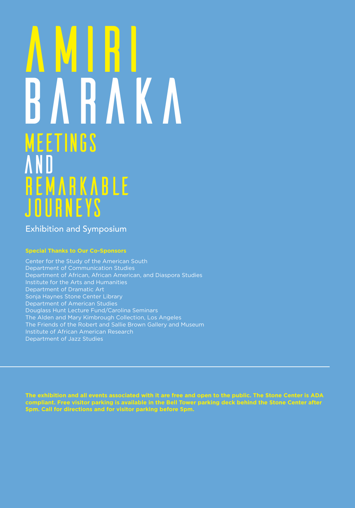# MEEtINGS and Remarkable Journeys BARAKA AMIRI

Exhibition and Symposium

#### **Special Thanks to Our Co-Sponsors**

Center for the Study of the American South Department of Communication Studies Department of African, African American, and Diaspora Studies Department of Dramatic Art Sonja Haynes Stone Center Library Department of American Studies Douglass Hunt Lecture Fund/Carolina Seminars The Alden and Mary Kimbrough Collection, Los Angeles The Friends of the Robert and Sallie Brown Gallery and Museum Institute of African American Research Department of Jazz Studies

**The exhibition and all events associated with it are free and open to the public. The Stone Center is ADA compliant. Free visitor parking is available in the Bell Tower parking deck behind the Stone Center after 5pm. Call for directions and for visitor parking before 5pm.**